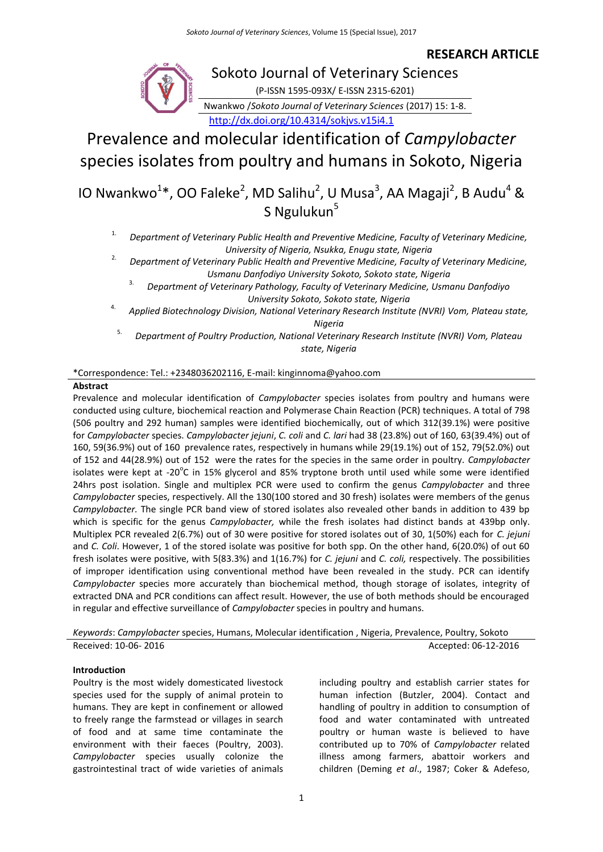### **RESEARCH ARTICLE**



# Sokoto Journal of Veterinary Sciences

(P-ISSN 1595-093X/ E-ISSN 2315-6201)

Nwankwo /*Sokoto Journal of Veterinary Sciences* (2017) 15: 1-8. <http://dx.doi.org/10.4314/sokjvs.v15i4.1>

Prevalence and molecular identification of *Campylobacter* species isolates from poultry and humans in Sokoto, Nigeria

## IO Nwankwo<sup>1\*</sup>, OO Faleke<sup>2</sup>, MD Salihu<sup>2</sup>, U Musa<sup>3</sup>, AA Magaji<sup>2</sup>, B Audu<sup>4</sup> & S Ngulukun<sup>5</sup>

1. *Department of Veterinary Public Health and Preventive Medicine, Faculty of Veterinary Medicine, University of Nigeria, Nsukka, Enugu state, Nigeria*

2. *Department of Veterinary Public Health and Preventive Medicine, Faculty of Veterinary Medicine, Usmanu Danfodiyo University Sokoto, Sokoto state, Nigeria*

3. *Department of Veterinary Pathology, Faculty of Veterinary Medicine, Usmanu Danfodiyo University Sokoto, Sokoto state, Nigeria*

4. *Applied Biotechnology Division, National Veterinary Research Institute (NVRI) Vom, Plateau state, Nigeria*

5. *Department of Poultry Production, National Veterinary Research Institute (NVRI) Vom, Plateau state, Nigeria*

#### \*Correspondence: Tel.: +2348036202116, E-mail: kinginnoma@yahoo.com

#### **Abstract**

Prevalence and molecular identification of *Campylobacter* species isolates from poultry and humans were conducted using culture, biochemical reaction and Polymerase Chain Reaction (PCR) techniques. A total of 798 (506 poultry and 292 human) samples were identified biochemically, out of which 312(39.1%) were positive for *Campylobacter* species. *Campylobacter jejuni*, *C. coli* and *C. lari* had 38 (23.8%) out of 160, 63(39.4%) out of 160, 59(36.9%) out of 160 prevalence rates, respectively in humans while 29(19.1%) out of 152, 79(52.0%) out of 152 and 44(28.9%) out of 152 were the rates for the species in the same order in poultry. *Campylobacter* isolates were kept at -20 $\mathrm{^{\circ}C}$  in 15% glycerol and 85% tryptone broth until used while some were identified 24hrs post isolation. Single and multiplex PCR were used to confirm the genus *Campylobacter* and three *Campylobacter* species, respectively. All the 130(100 stored and 30 fresh) isolates were members of the genus *Campylobacter.* The single PCR band view of stored isolates also revealed other bands in addition to 439 bp which is specific for the genus *Campylobacter,* while the fresh isolates had distinct bands at 439bp only. Multiplex PCR revealed 2(6.7%) out of 30 were positive for stored isolates out of 30, 1(50%) each for *C. jejuni* and *C. Coli*. However, 1 of the stored isolate was positive for both spp. On the other hand, 6(20.0%) of out 60 fresh isolates were positive, with 5(83.3%) and 1(16.7%) for *C. jejuni* and *C. coli,* respectively. The possibilities of improper identification using conventional method have been revealed in the study. PCR can identify *Campylobacter* species more accurately than biochemical method, though storage of isolates, integrity of extracted DNA and PCR conditions can affect result. However, the use of both methods should be encouraged in regular and effective surveillance of *Campylobacter* species in poultry and humans.

*Keywords*: *Campylobacter* species, Humans, Molecular identification , Nigeria, Prevalence, Poultry, Sokoto Received: 10-06- 2016 **Accepted: 06-12-2016** Accepted: 06-12-2016

#### **Introduction**

Poultry is the most widely domesticated livestock species used for the supply of animal protein to humans. They are kept in confinement or allowed to freely range the farmstead or villages in search of food and at same time contaminate the environment with their faeces (Poultry, 2003). *Campylobacter* species usually colonize the gastrointestinal tract of wide varieties of animals

including poultry and establish carrier states for human infection (Butzler, 2004). Contact and handling of poultry in addition to consumption of food and water contaminated with untreated poultry or human waste is believed to have contributed up to 70% of *Campylobacter* related illness among farmers, abattoir workers and children (Deming *et al*., 1987; Coker & Adefeso,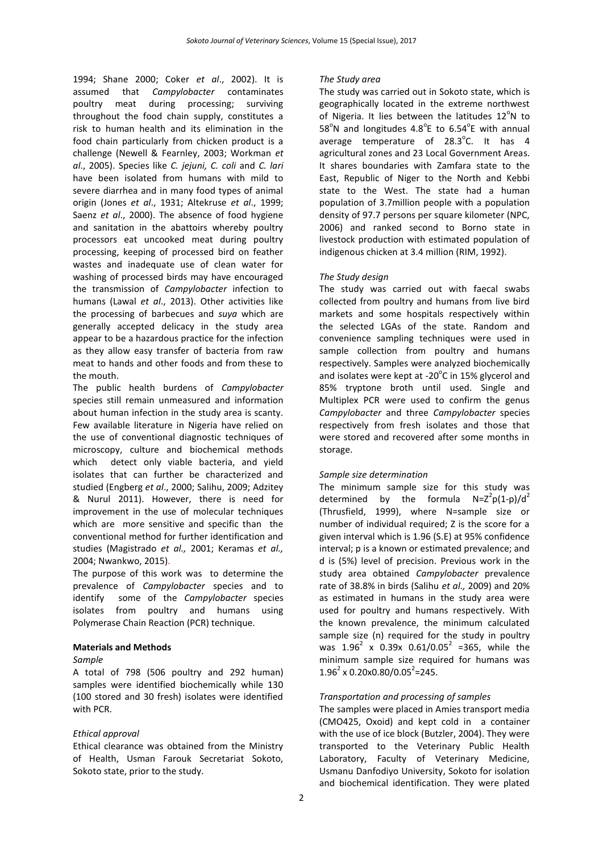1994; Shane 2000; Coker *et al*., 2002). It is assumed that *Campylobacter* contaminates poultry meat during processing; surviving throughout the food chain supply, constitutes a risk to human health and its elimination in the food chain particularly from chicken product is a challenge (Newell & Fearnley, 2003; Workman *et al*., 2005). Species like *C. jejuni, C. coli* and *C. lari*  have been isolated from humans with mild to severe diarrhea and in many food types of animal origin (Jones *et al*., 1931; Altekruse *et al*., 1999; Saenz *et al*., 2000). The absence of food hygiene and sanitation in the abattoirs whereby poultry processors eat uncooked meat during poultry processing, keeping of processed bird on feather wastes and inadequate use of clean water for washing of processed birds may have encouraged the transmission of *Campylobacter* infection to humans (Lawal *et al*., 2013). Other activities like the processing of barbecues and *suya* which are generally accepted delicacy in the study area appear to be a hazardous practice for the infection as they allow easy transfer of bacteria from raw meat to hands and other foods and from these to the mouth.

The public health burdens of *Campylobacter* species still remain unmeasured and information about human infection in the study area is scanty. Few available literature in Nigeria have relied on the use of conventional diagnostic techniques of microscopy, culture and biochemical methods which detect only viable bacteria, and yield isolates that can further be characterized and studied (Engberg *et al*., [2000;](http://www.ncbi.nlm.nih.gov/pmc/articles/PMC3597138/#CR26) Salihu, 2009; Adzitey & Nurul [2011\)](http://www.ncbi.nlm.nih.gov/pmc/articles/PMC3597138/#CR6). However, there is need for improvement in the use of molecular techniques which are more sensitive and specific than the conventional method for further identification and studies (Magistrado *et al.,* [2001;](http://www.ncbi.nlm.nih.gov/pmc/articles/PMC3597138/#CR39) Keramas *et al.,* [2004;](http://www.ncbi.nlm.nih.gov/pmc/articles/PMC3597138/#CR35) Nwankwo, 2015).

The purpose of this work was to determine the prevalence of *Campylobacter* species and to identify some of the *Campylobacter* species isolates from poultry and humans using Polymerase Chain Reaction (PCR) technique.

#### **Materials and Methods**

#### *Sample*

A total of 798 (506 poultry and 292 human) samples were identified biochemically while 130 (100 stored and 30 fresh) isolates were identified with PCR.

#### *Ethical approval*

Ethical clearance was obtained from the Ministry of Health, Usman Farouk Secretariat Sokoto, Sokoto state, prior to the study.

#### *The Study area*

The study was carried out in Sokoto state, which is geographically located in the extreme northwest of Nigeria. It lies between the latitudes  $12^{\circ}$ N to 58°N and longitudes  $4.8^{\circ}$ E to 6.54°E with annual average temperature of  $28.3^{\circ}$ C. It has 4 agricultural zones and 23 Local Government Areas. It shares boundaries with Zamfara state to the East, Republic of Niger to the North and Kebbi state to the West. The state had a human population of 3.7million people with a population density of 97.7 persons per square kilometer (NPC, 2006) and ranked second to Borno state in livestock production with estimated population of indigenous chicken at 3.4 million (RIM, 1992).

#### *The Study design*

The study was carried out with faecal swabs collected from poultry and humans from live bird markets and some hospitals respectively within the selected LGAs of the state. Random and convenience sampling techniques were used in sample collection from poultry and humans respectively. Samples were analyzed biochemically and isolates were kept at -20 $^{\circ}$ C in 15% glycerol and 85% tryptone broth until used. Single and Multiplex PCR were used to confirm the genus *Campylobacter* and three *Campylobacter* species respectively from fresh isolates and those that were stored and recovered after some months in storage.

#### *Sample size determination*

The minimum sample size for this study was determined by the formula  $N=Z^2p(1-p)/d^2$ (Thrusfield, 1999), where N=sample size or number of individual required; Z is the score for a given interval which is 1.96 (S.E) at 95% confidence interval; p is a known or estimated prevalence; and d is (5%) level of precision. Previous work in the study area obtained *Campylobacter* prevalence rate of 38.8% in birds (Salihu *et al.,* 2009) and 20% as estimated in humans in the study area were used for poultry and humans respectively. With the known prevalence, the minimum calculated sample size (n) required for the study in poultry was  $1.96^2$  x 0.39x 0.61/0.05<sup>2</sup> =365, while the minimum sample size required for humans was  $1.96^2 \times 0.20 \times 0.80 / 0.05^2 = 245$ .

#### *Transportation and processing of samples*

The samples were placed in Amies transport media (CMO425, Oxoid) and kept cold in a container with the use of ice block (Butzler, 2004). They were transported to the Veterinary Public Health Laboratory, Faculty of Veterinary Medicine, Usmanu Danfodiyo University, Sokoto for isolation and biochemical identification. They were plated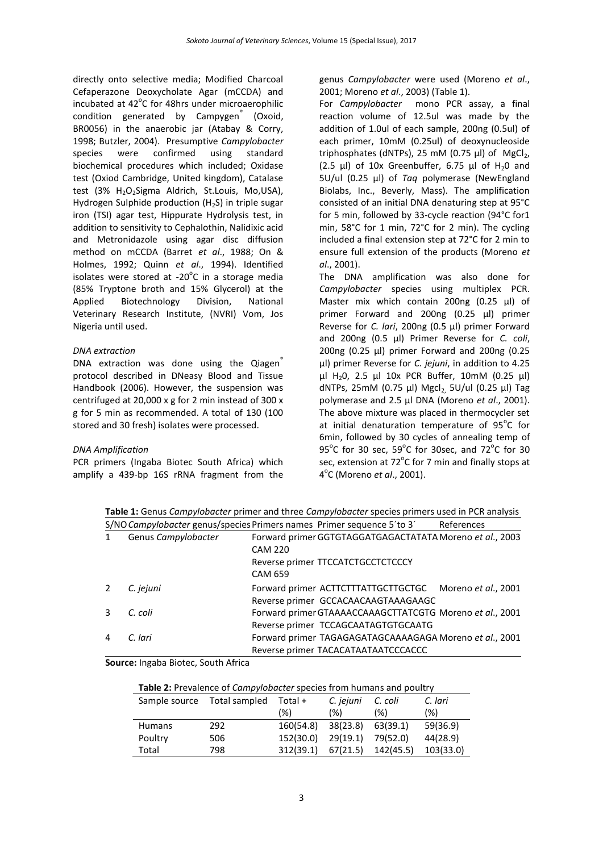directly onto selective media; Modified Charcoal Cefaperazone Deoxycholate Agar (mCCDA) and incubated at  $42^{\circ}$ C for 48hrs under microaerophilic condition generated by Campygen<sup>®</sup> (Oxoid, BR0056) in the anaerobic jar (Atabay & Corry, 1998; Butzler, 2004). Presumptive *Campylobacter* species were confirmed using standard biochemical procedures which included; Oxidase test (Oxiod Cambridge, United kingdom), Catalase test (3% H<sub>2</sub>O<sub>2</sub>Sigma Aldrich, St.Louis, Mo.USA), Hydrogen Sulphide production  $(H_2S)$  in triple sugar iron (TSI) agar test, Hippurate Hydrolysis test, in addition to sensitivity to Cephalothin, Nalidixic acid and Metronidazole using agar disc diffusion method on mCCDA (Barret *et al*., 1988; On & Holmes, 1992; Quinn *et al*., 1994). Identified isolates were stored at -20 $^{\circ}$ C in a storage media (85% Tryptone broth and 15% Glycerol) at the Applied Biotechnology Division, National Veterinary Research Institute, (NVRI) Vom, Jos Nigeria until used.

#### *DNA extraction*

DNA extraction was done using the Qiagen protocol described in DNeasy Blood and Tissue Handbook (2006). However, the suspension was centrifuged at 20,000 x g for 2 min instead of 300 x g for 5 min as recommended. A total of 130 (100 stored and 30 fresh) isolates were processed.

#### *DNA Amplification*

PCR primers (Ingaba Biotec South Africa) which amplify a 439-bp 16S rRNA fragment from the genus *Campylobacter* were used (Moreno *et al*., 2001; Moreno *et al*., 2003) (Table 1).

For *Campylobacter* mono PCR assay, a final reaction volume of 12.5ul was made by the addition of 1.0ul of each sample, 200ng (0.5ul) of each primer, 10mM (0.25ul) of deoxynucleoside triphosphates (dNTPs), 25 mM (0.75  $\mu$ l) of MgCl<sub>2</sub>, (2.5  $\mu$ l) of 10x Greenbuffer, 6.75  $\mu$ l of H<sub>2</sub>0 and 5U/ul (0.25 µl) of *Taq* polymerase (NewEngland Biolabs, Inc., Beverly, Mass). The amplification consisted of an initial DNA denaturing step at 95°C for 5 min, followed by 33-cycle reaction (94°C for1 min, 58°C for 1 min, 72°C for 2 min). The cycling included a final extension step at 72°C for 2 min to ensure full extension of the products (Moreno *et al*., 2001).

The DNA amplification was also done for *Campylobacter* species using multiplex PCR. Master mix which contain 200ng (0.25 µl) of primer Forward and 200ng (0.25 µl) primer Reverse for *C. lari*, 200ng (0.5 µl) primer Forward and 200ng (0.5 µl) Primer Reverse for *C. coli*, 200ng (0.25 µl) primer Forward and 200ng (0.25 µl) primer Reverse for *C. jejuni*, in addition to 4.25 µl H20, 2.5 µl 10x PCR Buffer, 10mM (0.25 µl) dNTPs, 25mM (0.75 µl) Mgcl<sub>2,</sub> 5U/ul (0.25 µl) Tag polymerase and 2.5 µl DNA (Moreno *et al*., 2001). The above mixture was placed in thermocycler set at initial denaturation temperature of  $95^{\circ}$ C for 6min, followed by 30 cycles of annealing temp of 95 $^{\circ}$ C for 30 sec, 59 $^{\circ}$ C for 30 sec, and 72 $^{\circ}$ C for 30 sec, extension at  $72^{\circ}$ C for 7 min and finally stops at 4 o C (Moreno *et al*., 2001).

**Table 1:** Genus *Campylobacter* primer and three *Campylobacter* species primers used in PCR analysis S/NO*Campylobacter* genus/speciesPrimers names Primer sequence 5´to 3´ References

|                     | S/NO Campylopacter genus/species Primers names Primer sequence 5 to 3 | References |
|---------------------|-----------------------------------------------------------------------|------------|
| Genus Campylobacter | Forward primer GGTGTAGGATGAGACTATATA Moreno et al., 2003              |            |
|                     | <b>CAM 220</b>                                                        |            |
|                     | Reverse primer TTCCATCTGCCTCTCCCY                                     |            |
|                     | <b>CAM 659</b>                                                        |            |
| C. jejuni           | Forward primer ACTTCTTTATTGCTTGCTGC Moreno et al., 2001               |            |
|                     | Reverse primer GCCACAACAAGTAAAGAAGC                                   |            |
| C. coli             | Forward primer GTAAAACCAAAGCTTATCGTG Moreno et al., 2001              |            |
|                     | Reverse primer TCCAGCAATAGTGTGCAATG                                   |            |
| C. lari             | Forward primer TAGAGAGATAGCAAAAGAGA Moreno et al., 2001               |            |
|                     | Reverse primer TACACATAATAATCCCACCC                                   |            |

**Source:** Ingaba Biotec, South Africa

| Table 2: Prevalence of Campylobacter species from humans and poultry |  |  |  |  |
|----------------------------------------------------------------------|--|--|--|--|
|----------------------------------------------------------------------|--|--|--|--|

| Sample source | Total sampled | Total $+$ | C. jejuni | C. coli   | C. lari   |
|---------------|---------------|-----------|-----------|-----------|-----------|
|               |               | (%)       | (% )      | (% )      | (%)       |
| <b>Humans</b> | 292           | 160(54.8) | 38(23.8)  | 63(39.1)  | 59(36.9)  |
| Poultry       | 506           | 152(30.0) | 29(19.1)  | 79(52.0)  | 44(28.9)  |
| Total         | 798           | 312(39.1) | 67(21.5)  | 142(45.5) | 103(33.0) |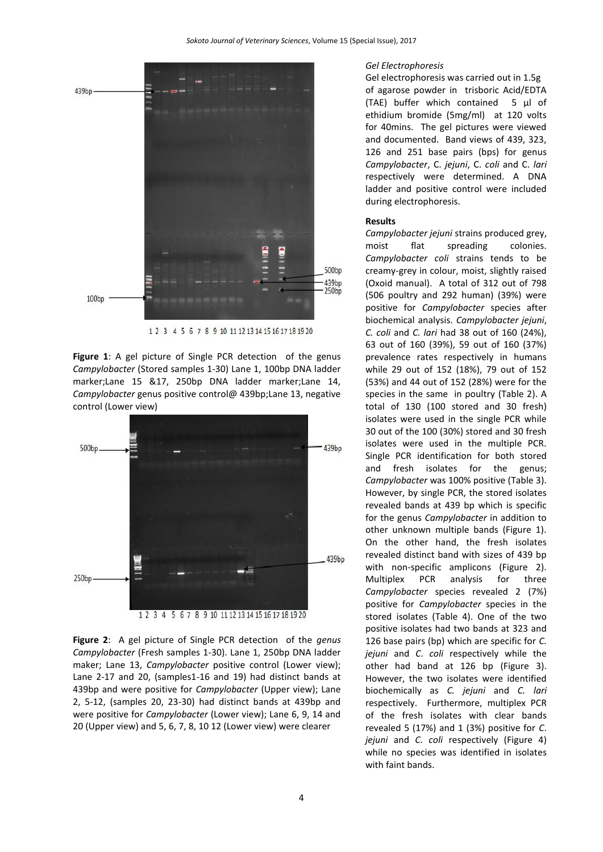

1 2 3 4 5 6 7 8 9 10 11 12 13 14 15 16 17 18 19 20

**Figure 1**: A gel picture of Single PCR detection of the genus *Campylobacter* (Stored samples 1-30) Lane 1, 100bp DNA ladder marker;Lane 15 &17, 250bp DNA ladder marker;Lane 14, *Campylobacter* genus positive control@ 439bp;Lane 13, negative control (Lower view)



**Figure 2**: A gel picture of Single PCR detection of the *genus Campylobacter* (Fresh samples 1-30). Lane 1, 250bp DNA ladder maker; Lane 13, *Campylobacter* positive control (Lower view); Lane 2-17 and 20, (samples1-16 and 19) had distinct bands at 439bp and were positive for *Campylobacter* (Upper view); Lane 2, 5-12, (samples 20, 23-30) had distinct bands at 439bp and were positive for *Campylobacter* (Lower view); Lane 6, 9, 14 and 20 (Upper view) and 5, 6, 7, 8, 10 12 (Lower view) were clearer

#### *Gel Electrophoresis*

Gel electrophoresis was carried out in 1.5g of agarose powder in trisboric Acid/EDTA (TAE) buffer which contained 5 µl of ethidium bromide (5mg/ml) at 120 volts for 40mins. The gel pictures were viewed and documented. Band views of 439, 323, 126 and 251 base pairs (bps) for genus *Campylobacter*, C. *jejuni*, C. *coli* and C. *lari*  respectively were determined. A DNA ladder and positive control were included during electrophoresis.

#### **Results**

*Campylobacter jejuni* strains produced grey, moist flat spreading colonies. *Campylobacter coli* strains tends to be creamy-grey in colour, moist, slightly raised (Oxoid manual). A total of 312 out of 798 (506 poultry and 292 human) (39%) were positive for *Campylobacter* species after biochemical analysis. *Campylobacter jejuni*, *C. coli* and *C. lari* had 38 out of 160 (24%), 63 out of 160 (39%), 59 out of 160 (37%) prevalence rates respectively in humans while 29 out of 152 (18%), 79 out of 152 (53%) and 44 out of 152 (28%) were for the species in the same in poultry (Table 2). A total of 130 (100 stored and 30 fresh) isolates were used in the single PCR while 30 out of the 100 (30%) stored and 30 fresh isolates were used in the multiple PCR. Single PCR identification for both stored and fresh isolates for the genus; *Campylobacter* was 100% positive (Table 3). However, by single PCR, the stored isolates revealed bands at 439 bp which is specific for the genus *Campylobacter* in addition to other unknown multiple bands (Figure 1). On the other hand, the fresh isolates revealed distinct band with sizes of 439 bp with non-specific amplicons (Figure 2). Multiplex PCR analysis for three *Campylobacter* species revealed 2 (7%) positive for *Campylobacter* species in the stored isolates (Table 4). One of the two positive isolates had two bands at 323 and 126 base pairs (bp) which are specific for *C. jejuni* and *C*. *coli* respectively while the other had band at 126 bp (Figure 3). However, the two isolates were identified biochemically as *C. jejuni* and *C. lari* respectively. Furthermore, multiplex PCR of the fresh isolates with clear bands revealed 5 (17%) and 1 (3%) positive for *C*. *jejuni* and *C*. *coli* respectively (Figure 4) while no species was identified in isolates with faint bands.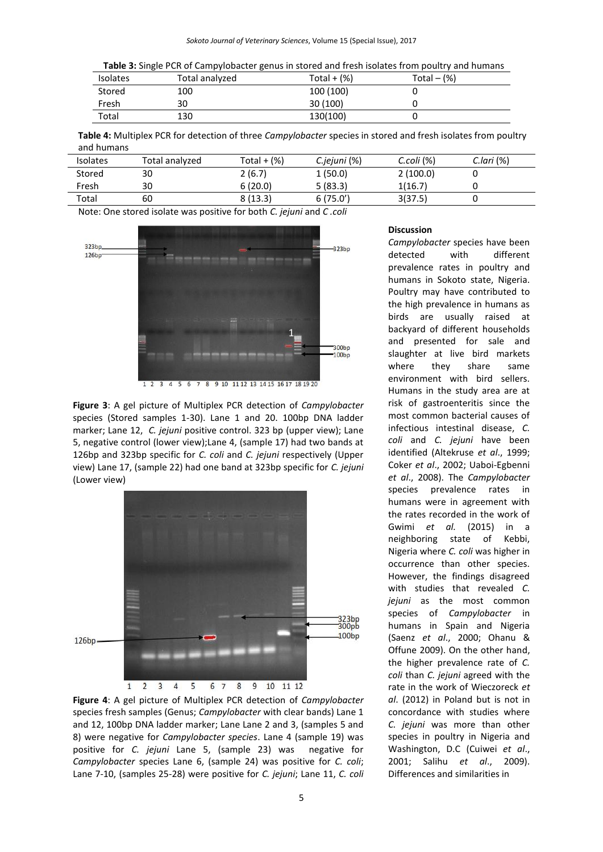|  | Table 3: Single PCR of Campylobacter genus in stored and fresh isolates from poultry and humans |  |
|--|-------------------------------------------------------------------------------------------------|--|
|--|-------------------------------------------------------------------------------------------------|--|

| <b>Isolates</b> | Total analyzed | Total $+$ (%) | Total $ (\%)$ |  |
|-----------------|----------------|---------------|---------------|--|
| Stored          | 100            | 100 (100)     |               |  |
| Fresh           | 30             | 30(100)       |               |  |
| Total           | 130            | 130(100)      |               |  |

**Table 4:** Multiplex PCR for detection of three *Campylobacter* species in stored and fresh isolates from poultry and humans

| <b>Isolates</b> | Total analyzed | Total + $(%)$ | C.jejuni (%) | C.coli (%) | $C$ .lari $(%)$ |
|-----------------|----------------|---------------|--------------|------------|-----------------|
| Stored          | 30             | 2(6.7)        | 1(50.0)      | 2(100.0)   |                 |
| Fresh           | 30             | 6(20.0)       | 5(83.3)      | 1(16.7)    |                 |
| Total           | 60             | 8(13.3)       | 6(75.0')     | 3(37.5)    |                 |

Note: One stored isolate was positive for both *C. jejuni* and *C .coli*



**Figure 3**: A gel picture of Multiplex PCR detection of *Campylobacter* species (Stored samples 1-30). Lane 1 and 20. 100bp DNA ladder marker; Lane 12, *C. jejuni* positive control. 323 bp (upper view); Lane 5, negative control (lower view);Lane 4, (sample 17) had two bands at 126bp and 323bp specific for *C. coli* and *C. jejuni* respectively (Upper view) Lane 17, (sample 22) had one band at 323bp specific for *C. jejuni* (Lower view)



**Figure 4**: A gel picture of Multiplex PCR detection of *Campylobacter*  species fresh samples (Genus; *Campylobacter* with clear bands) Lane 1 and 12, 100bp DNA ladder marker; Lane Lane 2 and 3, (samples 5 and 8) were negative for *Campylobacter species*. Lane 4 (sample 19) was positive for *C. jejuni* Lane 5, (sample 23) was negative for *Campylobacter* species Lane 6, (sample 24) was positive for *C. coli*; Lane 7-10, (samples 25-28) were positive for *C. jejuni*; Lane 11, *C. coli*

#### **Discussion**

*Campylobacter* species have been detected with different prevalence rates in poultry and humans in Sokoto state, Nigeria. Poultry may have contributed to the high prevalence in humans as birds are usually raised at backyard of different households and presented for sale and slaughter at live bird markets where they share same environment with bird sellers. Humans in the study area are at risk of gastroenteritis since the most common bacterial causes of infectious intestinal disease, *C. coli* and *C. jejuni* have been identified (Altekruse *et al*., 1999; Coker *et al*., 2002; Uaboi-Egbenni *et al*., 2008). The *Campylobacter* species prevalence rates in humans were in agreement with the rates recorded in the work of Gwimi *et al.* (2015) in a neighboring state of Kebbi, Nigeria where *C. coli* was higher in occurrence than other species. However, the findings disagreed with studies that revealed *C. jejuni* as the most common species of *Campylobacter* in humans in Spain and Nigeria (Saenz *et al*., 2000; Ohanu & Offune 2009). On the other hand, the higher prevalence rate of *C. coli* than *C. jejuni* agreed with the rate in the work of Wieczoreck *et al*. (2012) in Poland but is not in concordance with studies where *C. jejuni* was more than other species in poultry in Nigeria and Washington, D.C (Cuiwei *et al*., 2001; Salihu *et al*., 2009). Differences and similarities in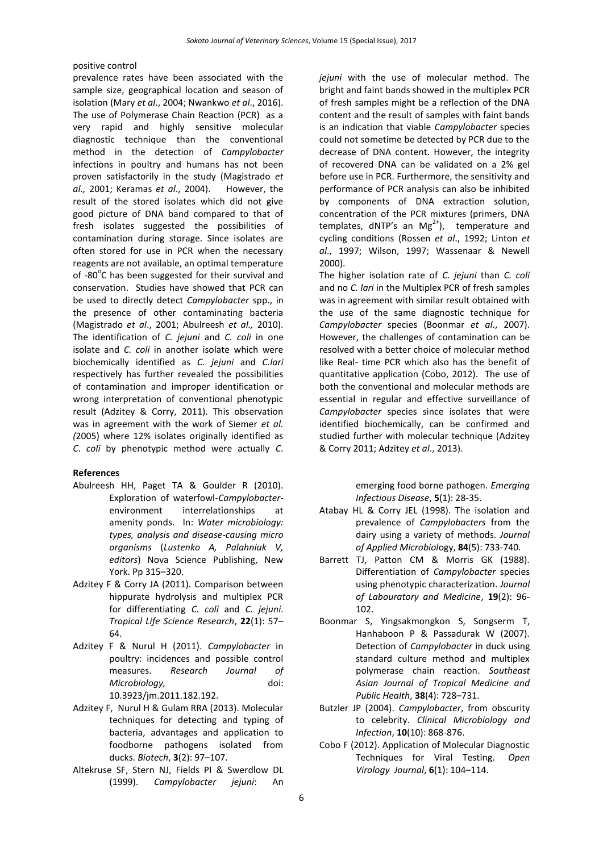#### positive control

prevalence rates have been associated with the sample size, geographical location and season of isolation (Mary *et al*., 2004; Nwankwo *et al*., 2016). The use of Polymerase Chain Reaction (PCR) as a very rapid and highly sensitive molecular diagnostic technique than the conventional method in the detection of *Campylobacter* infections in poultry and humans has not been proven satisfactorily in the study (Magistrado *et al.,* [2001;](http://www.ncbi.nlm.nih.gov/pmc/articles/PMC3597138/#CR39) Keramas *et al*., [2004\)](http://www.ncbi.nlm.nih.gov/pmc/articles/PMC3597138/#CR35). However, the result of the stored isolates which did not give good picture of DNA band compared to that of fresh isolates suggested the possibilities of contamination during storage. Since isolates are often stored for use in PCR when the necessary reagents are not available, an optimal temperature of -80°C has been suggested for their survival and conservation. Studies have showed that PCR can be used to directly detect *Campylobacter* spp., in the presence of other contaminating bacteria (Magistrado *et al*., [2001;](http://www.ncbi.nlm.nih.gov/pmc/articles/PMC3597138/#CR39) Abulreesh *et al.,* [2010\)](http://www.ncbi.nlm.nih.gov/pmc/articles/PMC3597138/#CR3). The identification of *C. jejuni* and *C. coli* in one isolate and *C. coli* in another isolate which were biochemically identified as *C. jejuni* and *C.lari* respectively has further revealed the possibilities of contamination and improper identification or wrong interpretation of conventional phenotypic result (Adzitey & Corry, [2011\)](http://www.ncbi.nlm.nih.gov/pmc/articles/PMC3597138/#CR4). This observation was in agreement with the work of Siemer *et al. (*2005) where 12% isolates originally identified as *C*. *coli* by phenotypic method were actually *C*.

#### **References**

- Abulreesh HH, Paget TA & Goulder R (2010). Exploration of waterfowl-*Campylobacter*environment interrelationships at amenity ponds. In: *Water microbiology: types, analysis and disease-causing micro organisms* (*Lustenko A, Palahniuk V, editors*) Nova Science Publishing, New York. Pp 315–320.
- Adzitey F & Corry JA (2011). Comparison between hippurate hydrolysis and multiplex PCR for differentiating *C. coli* and *C. jejuni*. *Tropical Life Science Research*, **22**(1): 57– 64.
- Adzitey F & Nurul H (2011). *Campylobacter* in poultry: incidences and possible control measures. *Research Journal of Microbiology,* doi: 10.3923/jm.2011.182.192.
- [Adzitey](http://www.ncbi.nlm.nih.gov/pubmed/?term=Adzitey%20F%5Bauth%5D) [F,](http://www.ncbi.nlm.nih.gov/pubmed/?term=Huda%20N%5Bauth%5D) Nurul H [& Gulam RRA \(](http://www.ncbi.nlm.nih.gov/pubmed/?term=Ali%20GR%5Bauth%5D)2013). Molecular techniques for detecting and typing of bacteria, advantages and application to foodborne pathogens isolated from ducks. *Biotech*, **3**(2): 97–107.
- Altekruse SF, Stern NJ, Fields PI & Swerdlow DL (1999). *Campylobacter jejuni*: An

*jejuni* with the use of molecular method. The bright and faint bands showed in the multiplex PCR of fresh samples might be a reflection of the DNA content and the result of samples with faint bands is an indication that viable *Campylobacter* species could not sometime be detected by PCR due to the decrease of DNA content. However, the integrity of recovered DNA can be validated on a 2% gel before use in PCR. Furthermore, the sensitivity and performance of PCR analysis can also be inhibited by components of DNA extraction solution, concentration of the PCR mixtures (primers, DNA templates, dNTP's an  $Mg^{2+}$ ), temperature and cycling conditions (Rossen *et al*., [1992;](http://www.ncbi.nlm.nih.gov/pmc/articles/PMC3597138/#CR57) Linton *et al*., 1997; Wilson, [1997;](http://www.ncbi.nlm.nih.gov/pmc/articles/PMC3597138/#CR71) Wassenaar & Newell [2000\)](http://www.ncbi.nlm.nih.gov/pmc/articles/PMC3597138/#CR70).

The higher isolation rate of *C. jejuni* than *C. coli*  and no *C. lari* in the Multiplex PCR of fresh samples was in agreement with similar result obtained with the use of the same diagnostic technique for *Campylobacter* species (Boonmar *et al*., [2007\)](http://www.ncbi.nlm.nih.gov/pmc/articles/PMC3597138/#CR1). However, the challenges of contamination can be resolved with a better choice of molecular method like Real- time PCR which also has the benefit of quantitative application (Cobo, 2012). The use of both the conventional and molecular methods are essential in regular and effective surveillance of *Campylobacter* species since isolates that were identified biochemically, can be confirmed and studied further with molecular technique (Adzitey & Corry [2011;](http://www.ncbi.nlm.nih.gov/pmc/articles/PMC3597138/#CR4) Adzitey *et al*., 2013).

> emerging food borne pathogen. *Emerging Infectious Disease*, **5**(1): 28-35.

- Atabay HL & Corry JEL (1998). The isolation and prevalence of *Campylobacters* from the dairy using a variety of methods. *Journal of Applied Microbiol*ogy, **84**(5): 733-740.
- Barrett TJ, Patton CM & Morris GK (1988). Differentiation of *Campylobacter* species using phenotypic characterization. *Journal of Labouratory and Medicine*, **19**(2): 96- 102.
- Boonmar S, Yingsakmongkon S, Songserm T, Hanhaboon P & Passadurak W (2007). Detection of *Campylobacter* in duck using standard culture method and multiplex polymerase chain reaction. *Southeast Asian Journal of Tropical Medicine and Public Health*, **38**(4): 728–731.
- Butzler JP (2004). *Campylobacter*, from obscurity to celebrity. *Clinical Microbiology and Infection*, **10**(10): 868-876.
- Cobo F (2012). Application of Molecular Diagnostic Techniques for Viral Testing. *Open Virology Journal*, **6**(1): 104–114.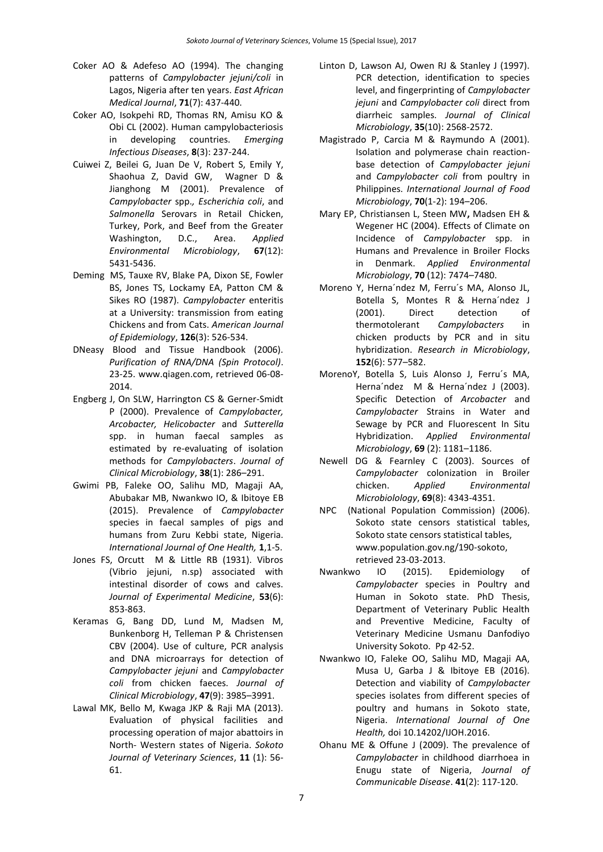- Coker AO & Adefeso AO (1994). The changing patterns of *Campylobacter jejuni/coli* in Lagos, Nigeria after ten years. *East African Medical Journal*, **71**(7): 437-440.
- Coker AO, Isokpehi RD, Thomas RN, Amisu KO & Obi CL (2002). Human campylobacteriosis in developing countries. *Emerging Infectious Diseases*, **8**(3): 237-244.
- [Cuiwei Z,](http://aem.asm.org/search?author1=Cuiwei+Zhao&sortspec=date&submit=Submit) [Beilei G,](http://aem.asm.org/search?author1=Beilei+Ge&sortspec=date&submit=Submit) [Juan De V,](http://aem.asm.org/search?author1=Juan+De+Villena&sortspec=date&submit=Submit) [Robert S,](http://aem.asm.org/search?author1=Robert+Sudler&sortspec=date&submit=Submit) [Emily Y,](http://aem.asm.org/search?author1=Emily+Yeh&sortspec=date&submit=Submit) [Shaohua Z,](http://aem.asm.org/search?author1=Shaohua+Zhao&sortspec=date&submit=Submit) [David GW,](http://aem.asm.org/search?author1=David+G.+White&sortspec=date&submit=Submit) [Wagner](http://aem.asm.org/search?author1=David+Wagner&sortspec=date&submit=Submit) D & [Jianghong M](http://aem.asm.org/search?author1=Jianghong+Meng&sortspec=date&submit=Submit) (2001). Prevalence of *Campylobacter* spp.*, Escherichia coli*, and *Salmonella* Serovars in Retail Chicken, Turkey, Pork, and Beef from the Greater Washington, D.C., Area. *Applied Environmental Microbiology*, **67**(12): 5431-5436.
- Deming MS, Tauxe RV, Blake PA, Dixon SE, Fowler BS, Jones TS, Lockamy EA, Patton CM & Sikes RO (1987). *Campylobacter* enteritis at a University: transmission from eating Chickens and from Cats. *American Journal of Epidemiology*, **126**(3): 526-534.
- DNeasy Blood and Tissue Handbook (2006). *Purification of RNA/DNA (Spin Protocol)*. 23-25. [www.qiagen.com,](http://www.qiagen.com/) retrieved 06-08- 2014.
- Engberg J, On SLW, Harrington CS & Gerner-Smidt P (2000). Prevalence of *Campylobacter, Arcobacter, Helicobacter* and *Sutterella* spp. in human faecal samples as estimated by re-evaluating of isolation methods for *Campylobacters*. *Journal of Clinical Microbiology*, **38**(1): 286–291.
- Gwimi PB, Faleke OO, Salihu MD, Magaji AA, Abubakar MB, Nwankwo IO, & Ibitoye EB (2015). Prevalence of *Campylobacter* species in faecal samples of pigs and humans from Zuru Kebbi state, Nigeria. *International Journal of One Health,* **1**,1-5.
- Jones FS, Orcutt M & Little RB (1931). Vibros (Vibrio jejuni, n.sp) associated with intestinal disorder of cows and calves. *Journal of Experimental Medicine*, **53**(6): 853-863.
- Keramas G, Bang DD, Lund M, Madsen M, Bunkenborg H, Telleman P & Christensen CBV (2004). Use of culture, PCR analysis and DNA microarrays for detection of *Campylobacter jejuni* and *Campylobacter coli* from chicken faeces. *Journal of Clinical Microbiology*, **47**(9): 3985–3991.
- Lawal MK, Bello M, Kwaga JKP & Raji MA (2013). Evaluation of physical facilities and processing operation of major abattoirs in North- Western states of Nigeria. *Sokoto Journal of Veterinary Sciences*, **11** (1): 56- 61.
- Linton D, Lawson AJ, Owen RJ & Stanley J (1997). PCR detection, identification to species level, and fingerprinting of *Campylobacter jejuni* and *Campylobacter coli* direct from diarrheic samples. *Journal of Clinical Microbiology*, **35**(10): 2568-2572.
- Magistrado P, Carcia M & Raymundo A (2001). Isolation and polymerase chain reactionbase detection of *Campylobacter jejuni* and *Campylobacter coli* from poultry in Philippines. *International Journal of Food Microbiology*, **70**(1-2): 194–206.
- Mary EP, Christiansen L, Steen MW**,** Madsen EH & Wegener HC (2004). Effects of Climate on Incidence of *Campylobacter* spp. in Humans and Prevalence in Broiler Flocks in Denmark. *Applied Environmental Microbiology*, **70** (12): 7474–7480.
- Moreno Y, Herna´ndez M, Ferru´s MA, Alonso JL, Botella S, Montes R & Herna´ndez J (2001). Direct detection of thermotolerant *Campylobacters* in chicken products by PCR and in situ hybridization. *Research in Microbiology*, **152**(6): 577–582.
- MorenoY, Botella S, Luis Alonso J, Ferru´s MA, Herna'ndez M & Herna'ndez J (2003). Specific Detection of *Arcobacter* and *Campylobacter* Strains in Water and Sewage by PCR and Fluorescent In Situ Hybridization. *Applied Environmental Microbiology*, **69** (2): 1181–1186.
- Newell DG & Fearnley C (2003). Sources of *Campylobacter* colonization in Broiler chicken. *Applied Environmental Microbiolology*, **69**(8): 4343-4351.
- NPC (National Population Commission) (2006). Sokoto state censors statistical tables, Sokoto state censors statistical tables, [www.population.gov.ng/190-sokoto,](http://www.population.gov.ng/190-sokoto) retrieved 23-03-2013.
- Nwankwo IO (2015). Epidemiology of *Campylobacter* species in Poultry and Human in Sokoto state. PhD Thesis, Department of Veterinary Public Health and Preventive Medicine, Faculty of Veterinary Medicine Usmanu Danfodiyo University Sokoto. Pp 42-52.
- Nwankwo IO, Faleke OO, Salihu MD, Magaji AA, Musa U, Garba J & Ibitoye EB (2016). Detection and viability of *Campylobacter*  species isolates from different species of poultry and humans in Sokoto state, Nigeria. *International Journal of One Health,* doi 10.14202/IJOH.2016.
- [Ohanu ME](http://www.ncbi.nlm.nih.gov/pubmed/?term=Ohanu%20ME%5BAuthor%5D&cauthor=true&cauthor_uid=22010500) & [Offune J](http://www.ncbi.nlm.nih.gov/pubmed/?term=Offune%20J%5BAuthor%5D&cauthor=true&cauthor_uid=22010500) (2009). The prevalence of *Campylobacter* in childhood diarrhoea in Enugu state of Nigeria, *[Journal of](http://www.ncbi.nlm.nih.gov/pubmed/22010500)  [Communicable Disease](http://www.ncbi.nlm.nih.gov/pubmed/22010500)*. **41**(2): 117-120.